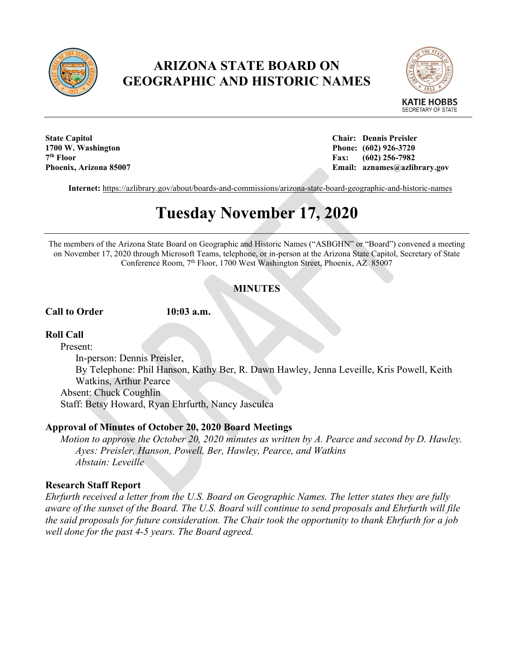

## **ARIZONA STATE BOARD ON GEOGRAPHIC AND HISTORIC NAMES**



**1700 W. Washington Phone: (602) 926-3720 7th Floor Fax: (602) 256-7982**

**State Capitol Chair: Dennis Preisler Phoenix, Arizona 85007 Email: aznames@azlibrary.gov**

**Internet:** <https://azlibrary.gov/about/boards-and-commissions/arizona-state-board-geographic-and-historic-names>

# **Tuesday November 17, 2020**

The members of the Arizona State Board on Geographic and Historic Names ("ASBGHN" or "Board") convened a meeting on November 17, 2020 through Microsoft Teams, telephone, or in-person at the Arizona State Capitol, Secretary of State Conference Room, 7<sup>th</sup> Floor, 1700 West Washington Street, Phoenix, AZ 85007

### **MINUTES**

**Call to Order 10:03 a.m.**

#### **Roll Call**

Present: In-person: Dennis Preisler, By Telephone: Phil Hanson, Kathy Ber, R. Dawn Hawley, Jenna Leveille, Kris Powell, Keith Watkins, Arthur Pearce Absent: Chuck Coughlin Staff: Betsy Howard, Ryan Ehrfurth, Nancy Jasculca

#### **Approval of Minutes of October 20, 2020 Board Meetings**

*Motion to approve the October 20, 2020 minutes as written by A. Pearce and second by D. Hawley. Ayes: Preisler, Hanson, Powell, Ber, Hawley, Pearce, and Watkins Abstain: Leveille*

#### **Research Staff Report**

*Ehrfurth received a letter from the U.S. Board on Geographic Names. The letter states they are fully aware of the sunset of the Board. The U.S. Board will continue to send proposals and Ehrfurth will file the said proposals for future consideration. The Chair took the opportunity to thank Ehrfurth for a job well done for the past 4-5 years. The Board agreed.*